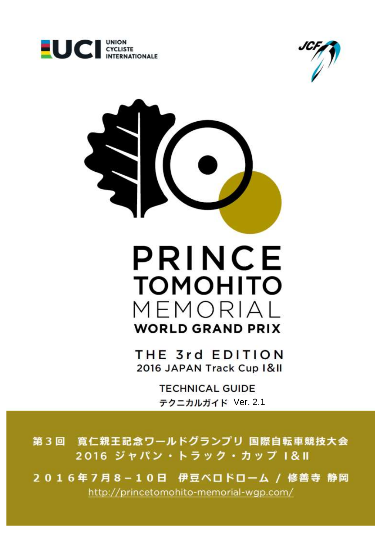





 $\frac{1}{2}$   $\frac{1}{2}$ 2016 JAPAN Track Cup I&II

> **TECHNICAL GUIDE** テクニカルガイド Ver. 2.1

第3回 寛仁親王記念ワールドグランプリ 国際自転車競技大会 2016 ジャパン・トラック・カップ 1&11

2016年7月8-10日 伊豆ベロドローム / 修善寺 静岡 http://princetomohito-memorial-wgp.com/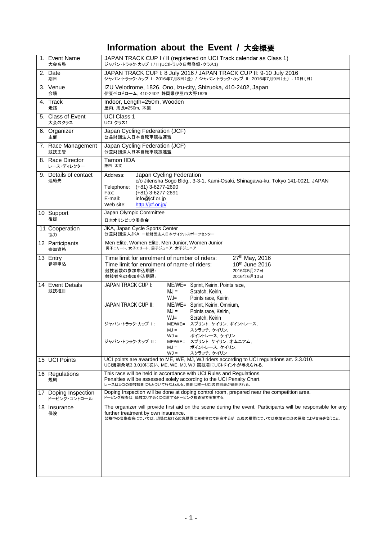# **Information about the Event /** 大会概要

| 1.              | <b>Event Name</b><br>大会名称          | JAPAN TRACK CUP I / II (registered on UCI Track calendar as Class 1)<br>ジャパン・トラック·カップ I/II (UCIトラック日程登録・クラス1)                                                                                                                                                                                                                                                                                                                                      |
|-----------------|------------------------------------|----------------------------------------------------------------------------------------------------------------------------------------------------------------------------------------------------------------------------------------------------------------------------------------------------------------------------------------------------------------------------------------------------------------------------------------------------|
| 2.              | Date<br>期日                         | JAPAN TRACK CUP I: 8 July 2016 / JAPAN TRACK CUP II: 9-10 July 2016<br>ジャパン・トラック·カップ I: 2016年7月8日(金) / ジャパン・トラック·カップ II: 2016年7月9日(土) - 10日(日)                                                                                                                                                                                                                                                                                                     |
| 3.              | Venue<br>会場                        | IZU Velodrome, 1826, Ono, Izu-city, Shizuoka, 410-2402, Japan<br>伊豆ベロドローム. 410-2402 静岡県伊豆市大野1826                                                                                                                                                                                                                                                                                                                                                   |
| 4.              | Track<br>走路                        | Indoor, Length=250m, Wooden<br>屋内, 周長=250m, 木製                                                                                                                                                                                                                                                                                                                                                                                                     |
| 5.              | Class of Event<br>大会のクラス           | <b>UCI Class 1</b><br>UCI クラス1                                                                                                                                                                                                                                                                                                                                                                                                                     |
| 6.              | Organizer<br>主催                    | Japan Cycling Federation (JCF)<br>公益財団法人日本自転車競技連盟                                                                                                                                                                                                                                                                                                                                                                                                  |
| 7.              | Race Management<br>競技主管            | Japan Cycling Federation (JCF)<br>公益財団法人日本自転車競技連盟                                                                                                                                                                                                                                                                                                                                                                                                  |
| 8.              | <b>Race Director</b><br>レース・ディレクター | Tamon IIDA<br>飯田 太文                                                                                                                                                                                                                                                                                                                                                                                                                                |
| 9.              | Details of contact<br>連絡先          | Japan Cycling Federation<br>Address:<br>c/o Jitensha Sogo Bldg., 3-3-1, Kami-Osaki, Shinagawa-ku, Tokyo 141-0021, JAPAN<br>Telephone:<br>$(+81)$ 3-6277-2690<br>Fax:<br>$(+81)$ 3-6277-2691<br>info@jcf.or.jp<br>E-mail:<br>http://jcf.or.jp/<br>Web site:                                                                                                                                                                                         |
|                 | 10 Support<br>後援                   | Japan Olympic Committee<br>日本オリンピック委員会                                                                                                                                                                                                                                                                                                                                                                                                             |
|                 | 11 Cooperation<br>協力               | JKA, Japan Cycle Sports Center<br>公益財団法人JKA. 一般財団法人日本サイクルスポーツセンター                                                                                                                                                                                                                                                                                                                                                                                  |
|                 | 12 Participants<br>参加資格            | Men Elite, Women Elite, Men Junior, Women Junior<br>男子エリート、女子エリート、男子ジュニア、女子ジュニア                                                                                                                                                                                                                                                                                                                                                                    |
|                 | 13 Entry<br>参加申込                   | 27th May, 2016<br>Time limit for enrolment of number of riders:<br>$10th$ June 2016<br>Time limit for enrolment of name of riders:<br>競技者数の参加申込期限:<br>2016年5月27日<br>競技者名の参加申込期限:<br>2016年6月10日                                                                                                                                                                                                                                                     |
| 14 <sup>1</sup> | <b>Event Details</b><br>競技種目       | <b>JAPAN TRACK CUP I:</b><br>ME/WE= Sprint, Keirin, Points race,<br>$MJ =$<br>Scratch, Keirin,<br>$WJ =$<br>Points race, Keirin<br>JAPAN TRACK CUP II:<br>ME/WE= Sprint, Keirin, Omnium,<br>$MJ =$<br>Points race, Keirin,<br>$WJ =$<br>Scratch, Keirin<br>スプリント, ケイリン, ポイントレース,<br>ジャパン・トラック・カップ 1:<br>$ME/WE =$<br>スクラッチ,ケイリン,<br>$MJ =$<br>$WJ =$<br>ポイントレース, ケイリン<br>ジャパン・トラック・カップ Ⅱ:<br>ME/WE= スプリント, ケイリン, オムニアム,<br>$MJ =$<br>ポイントレース,ケイリン, |
| 15              | <b>UCI Points</b>                  | $WJ =$<br>スクラッチ, ケイリン<br>UCI points are awarded to ME, WE, MJ, WJ riders according to UCI regulations art. 3.3.010.<br>UCI規則条項3.3.010に従い, ME, WE, MJ, WJ 競技者にUCIポイントが与えられる.                                                                                                                                                                                                                                                                        |
|                 | 16 Regulations<br>規則               | This race will be held in accordance with UCI Rules and Regulations.<br>Penalties will be assessed solely according to the UCI Penalty Chart.<br>レースはUCIの競技規則にもとづいて行なわれる。罰則は唯一UCIの罰則表が適用される。                                                                                                                                                                                                                                                       |
| 17              | Doping Inspection<br>ドーピング・コントロール  | Doping Inspection will be done at doping control room, prepared near the competition area.<br>ドーピング検査は、競技エリア近くに位置するドーピング検査室で実施する.                                                                                                                                                                                                                                                                                                                  |
| 18              | Insurance<br>保険                    | The organizer will provide first aid on the scene during the event. Participants will be responsible for any<br>further treatment by own insurance.<br>競技中の負傷疾病については,現場における応急措置は主催者にて用意するが,以後の措置については参加者自身の保険により責任を負うこと.                                                                                                                                                                                                                           |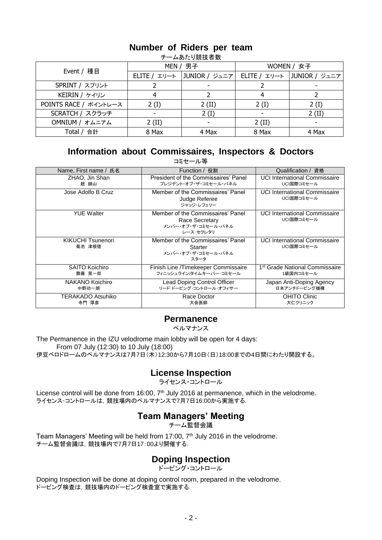| <b>_________________</b> |          |                              |            |                              |  |  |  |  |
|--------------------------|----------|------------------------------|------------|------------------------------|--|--|--|--|
| Event / 種目               |          | MEN / 男子                     | WOMEN / 女子 |                              |  |  |  |  |
|                          |          | ELITE / エリート   JUNIOR / ジュニア |            | ELITE / エリート   JUNIOR / ジュニア |  |  |  |  |
| SPRINT / スプリント           |          |                              |            |                              |  |  |  |  |
| KEIRIN / ケイリン            |          |                              |            |                              |  |  |  |  |
| POINTS RACE / ポイントレース    | 2(I)     | $2$ (II)                     | 2(I)       | 2(I)                         |  |  |  |  |
| SCRATCH / スクラッチ          |          | 2(I)                         |            | $2$ (II)                     |  |  |  |  |
| OMNIUM / オムニアム           | $2$ (II) |                              | $2$ (II)   |                              |  |  |  |  |
| Total / 合計               | 8 Max    | 4 Max                        | 8 Max      | 4 Max                        |  |  |  |  |

#### **Number of Riders per team** <sub>チー</sub>ムあたり競技者数

## **Information about Commissaires, Inspectors & Doctors**

| コミセール等                          |                                                                                         |                                                         |  |  |  |  |
|---------------------------------|-----------------------------------------------------------------------------------------|---------------------------------------------------------|--|--|--|--|
| Name, First name / 氏名           | Function / 役割                                                                           | Qualification / 資格                                      |  |  |  |  |
| ZHAO, Jin Shan<br>趙 錦山          | President of the Commissaires' Panel<br>プレジデント・オブ・ザ・コミセール・パネル                           | <b>UCI International Commissaire</b><br>UCI国際コミセール      |  |  |  |  |
| Jose Adolfo B Cruz              | Member of the Commissaires' Panel<br>Judge Referee<br>ジャッジ・レフェリー                        | <b>UCI International Commissaire</b><br>UCI国際コミセール      |  |  |  |  |
| <b>YUE Walter</b>               | Member of the Commissaires' Panel<br>Race Secretary<br>メンバー・オブ・ザ・コミセール・パネル<br>レース・セクレタリ | <b>UCI International Commissaire</b><br>UCI国際コミセール      |  |  |  |  |
| KIKUCHI Tsunenori<br>菊池 津根徳     | Member of the Commissaires' Panel<br>Starter<br>メンバー・オブ・ザ・コミセール・パネル<br>スタータ             | <b>UCI International Commissaire</b><br>UCI国際コミセール      |  |  |  |  |
| <b>SAITO Koichiro</b><br>齋藤 晃一郎 | Finish Line /Timekeeper Commissaire<br>フィニッシュライン/タイムキーパー・コミセール                          | 1 <sup>st</sup> Grade National Commissaire<br>1級国内コミセール |  |  |  |  |
| NAKANO Koichiro<br>中野功一朗        | Lead Doping Control Officer<br>リード・ドーピング・コントロール・オフィサー                                   | Japan Anti-Doping Agency<br>日本アンチドーピング機構                |  |  |  |  |
| TERAKADO Atsuhiko<br>寺門 厚彦      | Race Doctor<br>大会医師                                                                     | <b>OHITO Clinic</b><br>大仁クリニック                          |  |  |  |  |

### **Permanence**

ペルマナンス

The Permanence in the IZU velodrome main lobby will be open for 4 days: From 07 July (12:30) to 10 July (18:00) 伊豆ベロドロームのペルマナンスは7月7日(木)12:30から7月10日(日)18:00までの4日間にわたり開設する。

## **License Inspection**

ライセンス・コントロール

License control will be done from 16:00,  $7<sup>th</sup>$  July 2016 at permanence, which in the velodrome. ライセンス・コントロールは,競技場内のペルマナンスで7月7日16:00から実施する.

## **Team Managers' Meeting**

チーム監督会議

Team Managers' Meeting will be held from 17:00, 7<sup>th</sup> July 2016 in the velodrome. チーム監督会議は,競技場内で7月7日17:00より開催する.

## **Doping Inspection**

ドーピング・コントロール

Doping Inspection will be done at doping control room, prepared in the velodrome. ドーピング検査は,競技場内のドーピング検査室で実施する.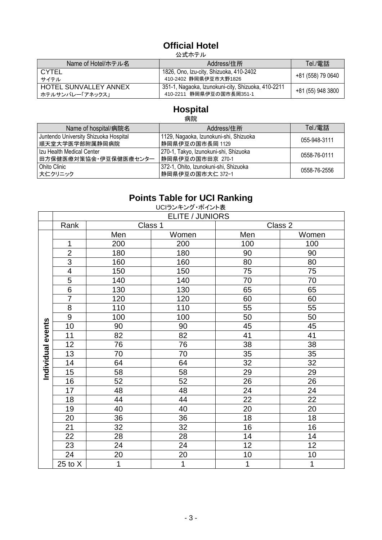# **Official Hotel**

公式ホテル

| Name of Hotel/ホテル名                       | Address/住所                                                                     | Tel./電話           |
|------------------------------------------|--------------------------------------------------------------------------------|-------------------|
| <b>CYTEL</b><br>サイテル                     | 1826, Ono, Izu-city, Shizuoka, 410-2402<br>410-2402 静岡県伊豆市大野1826               | +81 (558) 79 0640 |
| HOTEL SUNVALLEY ANNEX<br>ホテルサンバレー「アネックス」 | 351-1, Nagaoka, Izunokuni-city, Shizuoka, 410-2211<br>410-2211 静岡県伊豆の国市長岡351-1 | +81 (55) 948 3800 |

## **Hospital**

病院

| Name of hospital/病院名                                    | Address/住所                                                | Tel./電話      |  |  |  |  |  |
|---------------------------------------------------------|-----------------------------------------------------------|--------------|--|--|--|--|--|
| Juntendo University Shizuoka Hospital<br>順天堂大学医学部附属静岡病院 | 1129, Nagaoka, Izunokuni-shi, Shizuoka<br>静岡県伊豆の国市長岡 1129 | 055-948-3111 |  |  |  |  |  |
| Izu Health Medical Center<br>田方保健医療対策協会・伊豆保健医療センター      | 270-1, Takyo, Izunokuni-shi, Shizuoka<br>静岡県伊豆の国市田京 270-1 | 0558-76-0111 |  |  |  |  |  |
| Ohito Clinic<br>大仁クリニック                                 | 372-1, Ohito, Izunokuni-shi, Shizuoka<br>静岡県伊豆の国市大仁 372-1 | 0558-76-2556 |  |  |  |  |  |

# **Points Table for UCI Ranking**

|                   | UCIランキング・ポイント表         |         |       |                |       |  |  |  |  |  |
|-------------------|------------------------|---------|-------|----------------|-------|--|--|--|--|--|
|                   | <b>ELITE / JUNIORS</b> |         |       |                |       |  |  |  |  |  |
|                   | Rank                   | Class 1 |       | Class 2        |       |  |  |  |  |  |
|                   |                        | Men     | Women | Men            | Women |  |  |  |  |  |
|                   | 1                      | 200     | 200   | 100            | 100   |  |  |  |  |  |
|                   | $\overline{2}$         | 180     | 180   | 90             | 90    |  |  |  |  |  |
|                   | 3                      | 160     | 160   | 80             | 80    |  |  |  |  |  |
|                   | 4                      | 150     | 150   | 75             | 75    |  |  |  |  |  |
|                   | 5                      | 140     | 140   | 70             | 70    |  |  |  |  |  |
|                   | 6                      | 130     | 130   | 65             | 65    |  |  |  |  |  |
|                   | $\overline{7}$         | 120     | 120   | 60             | 60    |  |  |  |  |  |
|                   | 8                      | 110     | 110   | 55             | 55    |  |  |  |  |  |
|                   | $\boldsymbol{9}$       | 100     | 100   | 50             | 50    |  |  |  |  |  |
|                   | 10                     | 90      | 90    | 45             | 45    |  |  |  |  |  |
| Individual events | 11                     | 82      | 82    | 41             | 41    |  |  |  |  |  |
|                   | 12                     | 76      | 76    | 38             | 38    |  |  |  |  |  |
|                   | 13                     | 70      | 70    | 35             | 35    |  |  |  |  |  |
|                   | 14                     | 64      | 64    | 32             | 32    |  |  |  |  |  |
|                   | 15                     | 58      | 58    | 29             | 29    |  |  |  |  |  |
|                   | 16                     | 52      | 52    | 26             | 26    |  |  |  |  |  |
|                   | 17                     | 48      | 48    | 24             | 24    |  |  |  |  |  |
|                   | 18                     | 44      | 44    | 22             | 22    |  |  |  |  |  |
|                   | 19                     | 40      | 40    | 20             | 20    |  |  |  |  |  |
|                   | 20                     | 36      | 36    | 18             | 18    |  |  |  |  |  |
|                   | 21                     | 32      | 32    | 16             | 16    |  |  |  |  |  |
|                   | 22                     | 28      | 28    | 14             | 14    |  |  |  |  |  |
|                   | 23                     | 24      | 24    | 12             | 12    |  |  |  |  |  |
|                   | 24                     | 20      | 20    | 10             | 10    |  |  |  |  |  |
|                   | $25$ to $X$            | 1       | 1     | $\overline{1}$ | 1     |  |  |  |  |  |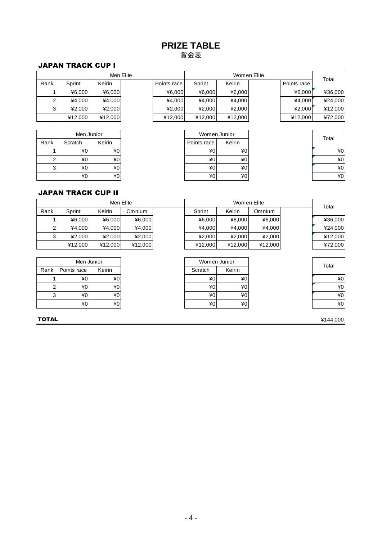## **PRIZE TABLE** 賞金表

#### JAPAN TRACK CUP I

|      | Men Eli |         |  |  |  |
|------|---------|---------|--|--|--|
| Rank | Sprint  | Keirin  |  |  |  |
|      | ¥6,000  | ¥6,000  |  |  |  |
| 2    | ¥4,000  | ¥4,000  |  |  |  |
| 3    | ¥2,000  | ¥2,000  |  |  |  |
|      | ¥12,000 | ¥12,000 |  |  |  |

|      | Men Junior |        |  |
|------|------------|--------|--|
| Rank | Scratch    | Keirin |  |
|      | ¥0         | ¥0     |  |
|      | ¥0         | ¥0     |  |
|      | ¥0         | ¥0     |  |
|      | ¥0         | ¥0     |  |

|      | Men Elite |         |  |             | Women Elite |         |  |             | Total   |
|------|-----------|---------|--|-------------|-------------|---------|--|-------------|---------|
| Rank | Sprint    | Keirin  |  | Points race | Sprint      | Keirin  |  | Points race |         |
|      | ¥6.000    | 46,000  |  | 46.000      | ¥6,000      | ¥6,000  |  | 46.000      | ¥36,000 |
|      | ¥4.000    | ¥4,000  |  | ¥4.000      | ¥4.000      | ¥4,000  |  | 44.000      | ¥24,000 |
| 3    | 42.000    | 42.000  |  | ¥2.000      | 42.000      | 42.000  |  | 42.000      | ¥12,000 |
|      | ¥12,000   | ¥12,000 |  | ¥12.000     | ¥12.000     | ¥12,000 |  | ¥12,000     | ¥72,000 |

|         |        | Women Junior                                               |                 |
|---------|--------|------------------------------------------------------------|-----------------|
| Scratch | Keirin | Points race                                                | Keirin          |
|         |        | ¥0                                                         | 40 <sup>1</sup> |
| 2       |        | ¥0                                                         | 40 <sup>1</sup> |
| 3       |        | $*0$                                                       | 40 <sup>1</sup> |
|         |        | ¥0                                                         | 40 <sup>1</sup> |
|         |        | Men Junior<br>¥0<br>¥0<br>¥0<br>¥0<br>¥0<br>¥0<br>¥0<br>¥0 |                 |

| Total |    |
|-------|----|
|       | ¥0 |
|       | ¥0 |
|       | ¥0 |
|       | v  |

#### JAPAN TRACK CUP II

|                | Men Elite   |         |               |  | Women Elite  |         |         |  | Total   |
|----------------|-------------|---------|---------------|--|--------------|---------|---------|--|---------|
| Rank           | Sprint      | Keirin  | <b>Omnium</b> |  | Sprint       | Keirin  | Omnium  |  |         |
|                | 46.000      | ¥6.000  | ¥6,000        |  | ¥6.000       | ¥6,000  | ¥6,000  |  | ¥36,000 |
| 2              | ¥4.000      | ¥4.000  | ¥4,000        |  | ¥4.000       | ¥4.000  | ¥4,000  |  | ¥24,000 |
| 3 <sup>1</sup> | 42,000      | 42,000  | ¥2,000        |  | 42,000       | ¥2,000  | ¥2,000  |  | ¥12,000 |
|                | ¥12,000     | ¥12,000 | ¥12,000       |  | ¥12,000      | ¥12,000 | ¥12,000 |  | ¥72,000 |
|                |             |         |               |  |              |         |         |  |         |
|                | Men Junior  |         |               |  | Women Junior |         |         |  | Total   |
| Rank           | Points race | Keirin  |               |  | Scratch      | Keirin  |         |  |         |
|                | ¥0          | ¥0      |               |  | ¥0           | $*0$    |         |  | ¥0      |
| $\overline{2}$ | ¥0          | ¥0      |               |  | ¥0           | $*0$    |         |  | ¥0      |
| $\mathcal{R}$  | ¥∩I         | ¥∩l     |               |  | ¥∩l          | ¥∩I     |         |  | ¥∩l     |

| Rank | Points race     | Keirin          | Scratch | Keirin |  |
|------|-----------------|-----------------|---------|--------|--|
|      | ¥0              | ¥0              | ¥0      | ¥0     |  |
|      | 40 <sub>l</sub> | 40 <sub>1</sub> | ¥0      | ¥0     |  |
|      | ¥0              | ¥0              | ¥0      | $*0$   |  |
|      | 40 <sub>1</sub> | ¥0              | ¥0      | ¥0     |  |

**TOTAL**  $*144,000$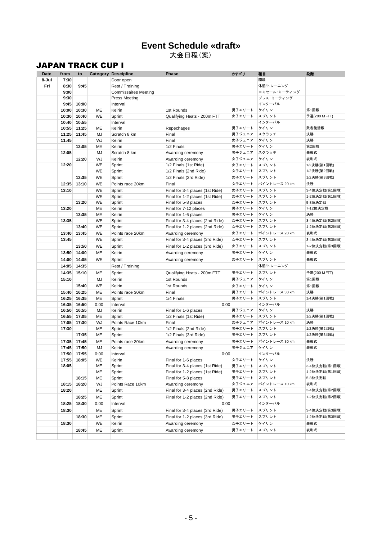### **Event Schedule «draft»** 大会日程(案)

### JAPAN TRACK CUP I

| Date         | from         | to          |           | <b>Category Descipline</b>   | <b>Phase</b>                    | カテゴリ   | 種目              | 段階            |
|--------------|--------------|-------------|-----------|------------------------------|---------------------------------|--------|-----------------|---------------|
| 8-Jul<br>Fri | 7:30<br>8:30 | 9:45        |           | Door open<br>Rest / Training |                                 |        | 開場<br>休憩/トレーニング |               |
|              | 9:00         |             |           | <b>Commissaires Meeting</b>  |                                 |        | コミセール・ミーティング    |               |
|              | 9:30         |             |           | <b>Press Meeting</b>         |                                 |        | プレス・ミーティング      |               |
|              | 9:45         | 10:00       |           | Interval                     |                                 |        | インターバル          |               |
|              | 10:00        | 10:30       | ME        | Keirin                       | 1st Rounds                      | 男子エリート | ケイリン            | 第1回戦          |
|              | 10:30        | 10:40       | WE        | Sprint                       | Qualifying Heats - 200m FTT     | 女子エリート | スプリント           | 予選(200 MFTT)  |
|              | 10:40        | 10:55       |           | Interval                     |                                 |        | インターバル          |               |
|              | 10:55        | 11:25       | ME        | Keirin                       | Repechages                      | 男子エリート | ケイリン            | 敗者復活戦         |
|              | 11:25        | 11:45       | <b>MJ</b> | Scratch 8 km                 | Final                           | 男子ジュニア | スクラッチ           | 決勝            |
|              | 11:45        |             | WJ        | Keirin                       | Final                           | 女子ジュニア | ケイリン            | 決勝            |
|              |              | 12:05       | <b>ME</b> | Keirin                       | 1/2 Finals                      | 男子エリート | ケイリン            | 第2回戦          |
|              | 12:05        |             | <b>MJ</b> | Scratch 8 km                 | Awarding ceremony               | 男子ジュニア | スクラッチ           | 表彰式           |
|              |              | 12:20       | WJ        | Keirin                       | Awarding ceremony               | 女子ジュニア | ケイリン            | 表彰式           |
|              | 12:20        |             | WE        | Sprint                       | 1/2 Finals (1st Ride)           | 女子エリート | スプリント           | 1/2決勝(第1回戦)   |
|              |              |             | WE        | Sprint                       | 1/2 Finals (2nd Ride)           | 女子エリート | スプリント           | 1/2決勝(第2回戦)   |
|              |              | 12:35       | WE        | Sprint                       | 1/2 Finals (3rd Ride)           | 女子エリート | スプリント           | 1/2決勝(第3回戦)   |
|              | 12:35        | 13:10       | <b>WE</b> | Points race 20km             | Final                           | 女子エリート | ポイントレース 20 km   | 決勝            |
|              | 13:10        |             | <b>WE</b> | Sprint                       | Final for 3-4 places (1st Ride) | 女子エリート | スプリント           | 3-4位決定戦(第1回戦) |
|              |              |             | WE        | Sprint                       | Final for 1-2 places (1st Ride) | 女子エリート | スプリント           | 1-2位決定戦(第1回戦) |
|              |              | 13:20       | WE        | Sprint                       | Final for 5-8 places            | 女子エリート | スプリント           | 5-8位決定戦       |
|              | 13:20        |             | ME        | Keirin                       | Final for 7-12 places           | 男子エリート | ケイリン            | 7-12位決定戦      |
|              |              | 13:35       | ME        | Keirin                       | Final for 1-6 places            | 男子エリート | ケイリン            | 決勝            |
|              | 13:35        |             | WE        | Sprint                       | Final for 3-4 places (2nd Ride) | 女子エリート | スプリント           | 3-4位決定戦(第2回戦) |
|              |              | 13:40       | WE        | Sprint                       | Final for 1-2 places (2nd Ride) | 女子エリート | スプリント           | 1-2位決定戦(第2回戦) |
|              | 13:40        | 13:45       | WE        | Points race 20km             | Awarding ceremony               | 女子エリート | ポイントレース 20 km   | 表彰式           |
|              | 13:45        |             | <b>WE</b> | Sprint                       | Final for 3-4 places (3rd Ride) | 女子エリート | スプリント           | 3-4位決定戦(第3回戦) |
|              |              | 13:50       | <b>WE</b> | Sprint                       | Final for 1-2 places (3rd Ride) | 女子エリート | スプリント           | 1-2位決定戦(第3回戦) |
|              | 13:50        | 14:00       | ME        | Keirin                       | Awarding ceremony               | 男子エリート | ケイリン            | 表彰式           |
|              | 14:00        | 14:05       | <b>WE</b> | Sprint                       | Awarding ceremony               | 女子エリート | スプリント           | 表彰式           |
|              | 14:05        | 14:35       |           | Rest / Training              |                                 |        | 休憩/トレーニング       |               |
|              | 14:35        | 15:10       | ME        | Sprint                       | Qualifying Heats - 200m FTT     | 男子エリート | スプリント           | 予選(200 MFTT)  |
|              | 15:10        |             | <b>MJ</b> | Keirin                       | 1st Rounds                      | 男子ジュニア | ケイリン            | 第1回戦          |
|              |              | 15:40       | WE        | Keirin                       | 1st Rounds                      | 女子エリート | ケイリン            | 第1回戦          |
|              | 15:40        | 16:25       | <b>ME</b> | Points race 30km             | Final                           | 男子エリート | ポイントレース 30 km   | 決勝            |
|              | 16:25        | 16:35       | ME        | Sprint                       | 1/4 Finals                      | 男子エリート | スプリント           | 1/4決勝(第1回戦)   |
|              | 16:35        | 16:50       | 0:00      | Interval                     | 0:00                            |        | インターバル          |               |
|              | 16:50        | 16:55       | MJ        | Keirin                       | Final for 1-6 places            | 男子ジュニア | ケイリン            | 決勝            |
|              | 16:55        | 17:05       | ME        | Sprint                       | 1/2 Finals (1st Ride)           | 男子エリート | スプリント           | 1/2決勝(第1回戦)   |
|              |              | 17:05 17:30 | WJ        | Points Race 10km             | Final                           | 女子ジュニア | ポイントレース 10 km   | 決勝            |
|              | 17:30        |             | ME        | Sprint                       | 1/2 Finals (2nd Ride)           | 男子エリート | スプリント           | 1/2決勝(第2回戦)   |
|              |              | 17:35       | ME        | Sprint                       | 1/2 Finals (3rd Ride)           | 男子エリート | スプリント           | 1/2決勝(第3回戦)   |
|              | 17:35        | 17:45       | ME        | Points race 30km             | Awarding ceremony               | 男子エリート | ポイントレース 30 km   | 表彰式           |
|              | 17:45        | 17:50       | <b>MJ</b> | Keirin                       | Awarding ceremony               | 男子ジュニア | ケイリン            | 表彰式           |
|              | 17:50        | 17:55       | 0:00      | Interval                     | 0:00                            |        | インターバル          |               |
|              | 17:55        | 18:05       | WE        | Keirin                       | Final for 1-6 places            | 女子エリート | ケイリン            | 決勝            |
|              | 18:05        |             | ME        | Sprint                       | Final for 3-4 places (1st Ride) | 男子エリート | スプリント           | 3-4位決定戦(第1回戦) |
|              |              |             | ME        | Sprint                       | Final for 1-2 places (1st Ride) | 男子エリート | スプリント           | 1-2位決定戦(第1回戦) |
|              |              | 18:15       | ME        | Sprint                       | Final for 5-8 places            | 男子エリート | スプリント           | 5-8位決定戦       |
|              | 18:15        | 18:20       | WJ        | Points Race 10km             | Awarding ceremony               | 女子ジュニア | ポイントレース 10 km   | 表彰式           |
|              | 18:20        |             | ME        | Sprint                       | Final for 3-4 places (2nd Ride) | 男子エリート | スプリント           | 3-4位決定戦(第2回戦) |
|              |              | 18:25       | ME        | Sprint                       | Final for 1-2 places (2nd Ride) | 男子エリート | スプリント           | 1-2位決定戦(第2回戦) |
|              | 18:25        | 18:30       | 0:00      | Interval                     | 0:00                            |        | インターバル          |               |
|              | 18:30        |             | ME        | Sprint                       | Final for 3-4 places (3rd Ride) | 男子エリート | スプリント           | 3-4位決定戦(第3回戦) |
|              |              | 18:30       | ME        | Sprint                       | Final for 1-2 places (3rd Ride) | 男子エリート | スプリント           | 1-2位決定戦(第3回戦) |
|              | 18:30        |             | WE        | Keirin                       | Awarding ceremony               | 女子エリート | ケイリン            | 表彰式           |
|              |              | 18:45       | ME        | Sprint                       | Awarding ceremony               | 男子エリート | スプリント           | 表彰式           |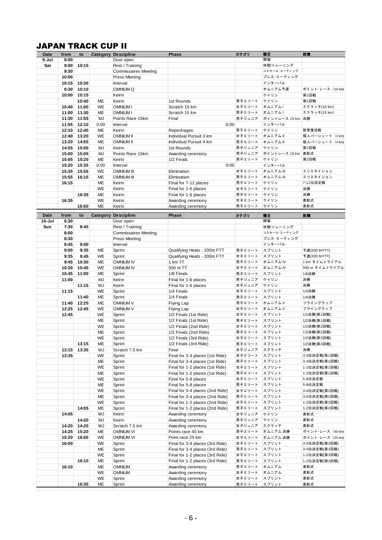## JAPAN TRACK CUP II

| <b>JAPAN TRACK CUP II</b> |                |                |                        |                                         |                                                                    |                  |                      |                                   |
|---------------------------|----------------|----------------|------------------------|-----------------------------------------|--------------------------------------------------------------------|------------------|----------------------|-----------------------------------|
| Date<br>9-Jul             | from<br>8:00   | to             |                        | <b>Category Descipline</b><br>Door open | <b>Phase</b>                                                       | カテゴリ             | 種目<br>開場             | 段階                                |
| Sat                       | 9:00           | 10:15          |                        | Rest / Training                         |                                                                    |                  | 休憩/トレーニング            |                                   |
|                           | 9:30           |                |                        | <b>Commissaires Meeting</b>             |                                                                    |                  | コミセール·ミーティング         |                                   |
|                           | 10:00          |                |                        | <b>Press Meeting</b>                    |                                                                    |                  | プレス・ミーティング           |                                   |
|                           | 10:15          | 10:30          |                        | Interval                                |                                                                    |                  | インターバル               |                                   |
|                           | 9:30<br>10:00  | 10:10<br>10:15 |                        | OMNIUM Q<br>Keirin                      |                                                                    |                  | オムニアム予選<br>ケイリン      | ポイント・レース (10 km)<br>第1回戦          |
|                           |                | 10:40          | ME                     | Keirin                                  | 1st Rounds                                                         | 男子エリート           | ケイリン                 | 第1回戦                              |
|                           | 10:40          | 11:00          | WE                     | <b>OMNIUM I</b>                         | Scratch 10 km                                                      | 女子エリート           | オムニアムト               | スクラッチ(10 km)                      |
|                           | 11:00          | 11:30          | ME                     | <b>OMNIUM I</b>                         | Scratch 15 km                                                      | 男子エリート           | オムニアムト               | スクラッチ(15 km)                      |
|                           | 11:30          | 11:55          | MJ                     | Points Race 15km                        | Final                                                              | 男子ジュニア           | ポイントレース 15 km 決勝     |                                   |
|                           | 11:55<br>12:10 | 12:10<br>12:40 | 0:00<br>ME             | Interval<br>Keirin                      | 0:00<br>Repechages                                                 | 男子エリート           | インターバル<br>ケイリン       | 敗者復活戦                             |
|                           | 12:40          | 13:20          | <b>WE</b>              | <b>OMNIUM II</b>                        | Individual Pursuit 3 km                                            | 女子エリート           | オムニアムⅡ               | 個人パーシュート (3 km)                   |
|                           | 13:20          | 14:55          | <b>ME</b>              | <b>OMNIUM II</b>                        | Individual Pursuit 4 km                                            | 男子エリート           | オムニアムⅡ               | 個人パーシュート (4 km)                   |
|                           | 14:55          | 15:00          | MJ                     | Keirin                                  | 1st Rounds                                                         | 男子ジュニア           | ケイリン                 | 第1回戦                              |
|                           | 15:00          | 15:05          | MJ                     | Points Race 15km                        | Awarding ceremony                                                  | 男子ジュニア           | ポイントレース 15 km        | 表彰式                               |
|                           | 15:05<br>15:20 | 15:20<br>15:35 | ME<br>0:00             | Keirin<br>Interval                      | 1/2 Finals<br>0:00                                                 | 男子エリート           | ケイリン<br>インターバル       | 第2回戦                              |
|                           | 15:35          | 15:55          | <b>WE</b>              | <b>OMNIUM III</b>                       | Elimination                                                        | 女子エリート           | オムニアム III            | エリミネイション                          |
|                           | 15:55          | 16:15          | ME                     | <b>OMNIUM III</b>                       | Elimination                                                        | 男子エリート           | オムニアム III            | エリミネイション                          |
|                           | 16:15          |                | ME                     | Keirin                                  | Final for 7-12 places                                              | 男子エリート           | ケイリン                 | 7-12位決定戦                          |
|                           |                |                | WE                     | Keirin                                  | Final for 1-6 places                                               | 女子エリート           | ケイリン                 | 決勝                                |
|                           |                | 16:35          | ME                     | Keirin                                  | Final for 1-6 places                                               | 男子エリート           | ケイリン                 | 決勝                                |
|                           | 16:35          | 16:50          | <b>WE</b><br><b>ME</b> | Keirin<br>Keirin                        | Awarding ceremony<br>Awarding ceremony                             | 女子エリート<br>男子エリート | ケイリン<br>ケイリン         | 表彰式<br>表彰式                        |
|                           |                |                |                        |                                         |                                                                    |                  |                      |                                   |
| <b>Date</b><br>10-Jul     | from<br>6:30   | to             | Category               | <b>Descipline</b><br>Door open          | <b>Phase</b>                                                       | カテゴリ             | 種目<br>開場             | 段階                                |
| Sun                       | 7:30           | 8:45           |                        | Rest / Training                         |                                                                    |                  | 休憩/トレーニング            |                                   |
|                           | 8:00           |                |                        | <b>Commissaires Meeting</b>             |                                                                    |                  | コミセール·ミーティング         |                                   |
|                           | 8:30           |                |                        | <b>Press Meeting</b>                    |                                                                    |                  | プレス・ミーティング           |                                   |
|                           | 8:45           | 9:00           |                        | Interval                                |                                                                    |                  | インターバル               |                                   |
|                           | 9:00<br>9:35   | 9:35<br>9:45   | МE<br>WE               | Sprint<br>Sprint                        | Qualifying Heats - 200m FTT<br>Qualifying Heats - 200m FTT         | 男子エリート<br>女子エリート | スプリント<br>スプリント       | 予選(200 M FTT)<br>予選(200 M FTT)    |
|                           | 9:45           | 10:30          | ME                     | <b>OMNIUM IV</b>                        | 1 km TT                                                            | 男子エリート           | オムニアムIV              | 1 km タイムトライアル                     |
|                           | 10:30          | 10:45          | <b>WE</b>              | <b>OMNIUM IV</b>                        | 500 m TT                                                           | 女子エリート           | オムニアム IV             | 500 m タイムトライアル                    |
|                           | 10:45          | 11:00          | ME                     | Sprint                                  | 1/8 Finals                                                         | 男子エリート           | スプリント                | 1/8決勝                             |
|                           | 11:00          |                | MJ                     | Keirin<br>Keirin                        | Final for 1-6 places                                               | 男子ジュニア<br>女子ジュニア | ケイリン<br>ケイリン         | 決勝<br>決勝                          |
|                           | 11:15          | 11:15          | WJ<br>WE               | Sprint                                  | Final for 1-6 places<br>1/4 Finals                                 | 女子エリート           | スプリント                | 1/4決勝                             |
|                           |                | 11:40          | ME                     | Sprint                                  | 1/4 Finals                                                         | 男子エリート           | スプリント                | 1/4決勝                             |
|                           |                | 11:40 12:25    | ME                     | <b>OMNIUM V</b>                         | Flying Lap                                                         | 男子エリート           | オムニアムV               | フライングラップ                          |
|                           | 12:25          | 12:45          | WE                     | <b>OMNIUM V</b>                         | Flying Lap                                                         | 女子エリート           | オムニアムV               | フライングラップ                          |
|                           | 12:45          |                | WE<br>ME               | Sprint<br>Sprint                        | 1/2 Finals (1st Ride)<br>1/2 Finals (1st Ride)                     | 女子エリート<br>男子エリート | スプリント<br>スプリント       | 1/2決勝(第1回戦)<br>1/2決勝(第1回戦)        |
|                           |                |                | WE                     | Sprint                                  | 1/2 Finals (2nd Ride)                                              | 女子エリート           | スプリント                | 1/2決勝(第2回戦)                       |
|                           |                |                | ME                     | Sprint                                  | 1/2 Finals (2nd Ride)                                              | 男子エリート           | スプリント                | 1/2決勝(第2回戦)                       |
|                           |                |                | WE                     | Sprint                                  | 1/2 Finals (3rd Ride)                                              | 女子エリート           | スプリント                | 1/2決勝(第3回戦)                       |
|                           |                | 13:15          | ME                     | Sprint                                  | 1/2 Finals (3rd Ride)                                              | 男子エリート           | スプリント                | 1/2決勝(第3回戦)                       |
|                           | 13:15<br>13:35 | 13:35          | WJ<br>WE               | Scratch 7.5 km<br>Sprint                | Final<br>Final for 3-4 places (1st Ride)                           | 女子ジュニア<br>女子エリート | スクラッチ<br>スプリント       | 決勝<br>3-4位決定戦(第1回戦)               |
|                           |                |                | ME                     | Sprint                                  | Final for 3-4 places (1st Ride)                                    | 男子エリート           | スプリント                | 3-4位決定戦(第1回戦)                     |
|                           |                |                | WE                     | Sprint                                  | Final for 1-2 places (1st Ride)                                    | 女子エリート           | スプリント                | 1-2位決定戦(第1回戦)                     |
|                           |                |                |                        | Sprint                                  | Final for 1-2 places (1st Ride)                                    | 男子エリート           | スプリント                | 1-2位決定戦(第1回戦)                     |
|                           |                |                | ME                     |                                         |                                                                    |                  |                      |                                   |
|                           |                |                | WE                     | Sprint                                  | Final for 5-8 places                                               | 女子エリート           | スプリント                | 5-8位決定戦                           |
|                           |                |                | ME                     | Sprint                                  | Final for 5-8 places                                               | 男子エリート           | スプリント                | 5-8位決定戦                           |
|                           |                |                | WE<br>ME               | Sprint                                  | Final for 3-4 places (2nd Ride)                                    | 女子エリート<br>男子エリート | スプリント<br>スプリント       | 3-4位決定戦(第2回戦)<br>3-4位決定戦(第2回戦)    |
|                           |                |                | WE                     | Sprint<br>Sprint                        | Final for 3-4 places (2nd Ride)<br>Final for 1-2 places (2nd Ride) | 女子エリート           | スプリント                | 1-2位決定戦(第2回戦)                     |
|                           |                | 14:05          | ME                     | Sprint                                  | Final for 1-2 places (2nd Ride)                                    | 男子エリート           | スプリント                | 1-2位決定戦(第2回戦)                     |
|                           | 14:05          |                | WJ                     | Keirin                                  | Awarding ceremony                                                  | 女子ジュニア           | ケイリン                 | 表彰式                               |
|                           |                | 14:20          | MJ                     | Keirin                                  | Awarding ceremony                                                  | 男子ジュニア           | ケイリン                 | 表彰式                               |
|                           | 14:20          | 14:25          | WJ<br>МE               | Scratch 7.5 km                          | Awarding ceremony                                                  | 女子ジュニア           | スクラッチ                | 表彰式                               |
|                           | 14:25<br>15:20 | 15:20<br>16:00 | WE                     | <b>OMNIUM VI</b><br><b>OMNIUM VI</b>    | Points race 40 km<br>Point race 25 km                              | 男子エリート<br>女子エリート | オムニアム 決勝<br>オムニアム 決勝 | ポイント・レース (40 km)                  |
|                           | 16:00          |                | WE                     | Sprint                                  | Final for 3-4 places (3rd Ride)                                    | 女子エリート           | スプリント                | 3-4位決定戦(第3回戦)                     |
|                           |                |                | ME                     | Sprint                                  | Final for 3-4 places (3rd Ride)                                    | 男子エリート           | スプリント                | 3-4位決定戦(第3回戦)                     |
|                           |                |                | WE                     | Sprint                                  | Final for 1-2 places (3rd Ride)                                    | 女子エリート           | スプリント                | 1-2位決定戦(第3回戦)                     |
|                           |                | 16:10          | ME                     | Sprint                                  | Final for 1-2 places (3rd Ride)                                    | 男子エリート           | スプリント                | ポイント・レース (25 km)<br>1-2位決定戦(第3回戦) |
|                           | 16:10          |                | ME<br>WE               | <b>OMNIUM</b><br><b>OMNIUM</b>          | Awarding ceremony<br>Awarding ceremony                             | 男子エリート<br>女子エリート | オムニアム<br>オムニアム       | 表彰式<br>表彰式                        |
|                           |                | 16:35          | WE                     | Sprint                                  | Awarding ceremony                                                  | 女子エリート<br>男子エリート | スプリント<br>スプリント       | 表彰式                               |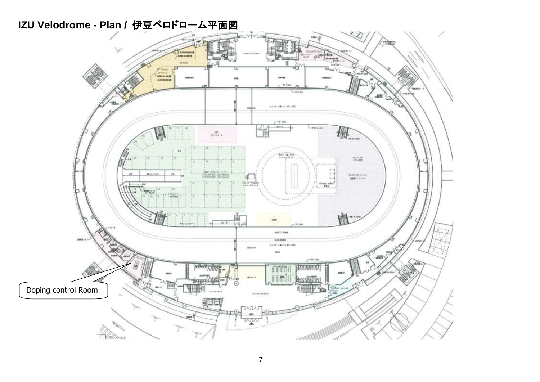# **IZU Velodrome - Plan /** 伊豆ベロドローム平面図

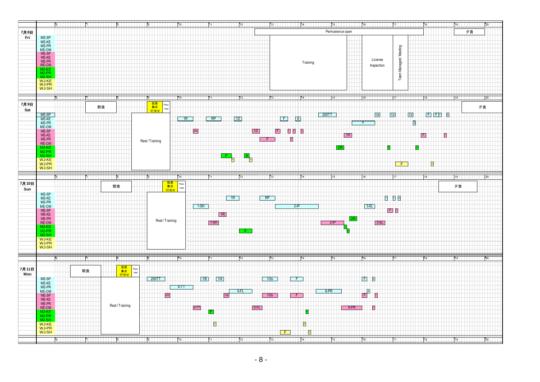